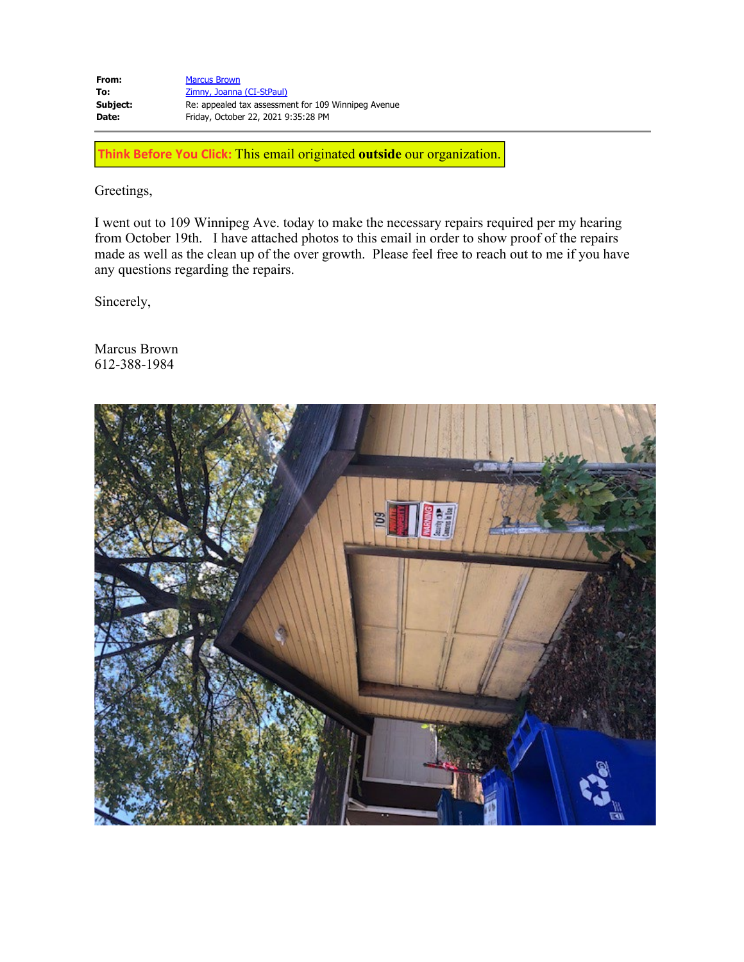**Think Before You Click:** This email originated **outside** our organization.

Greetings,

I went out to 109 Winnipeg Ave. today to make the necessary repairs required per my hearing from October 19th. I have attached photos to this email in order to show proof of the repairs made as well as the clean up of the over growth. Please feel free to reach out to me if you have any questions regarding the repairs.

Sincerely,

Marcus Brown 612-388-1984

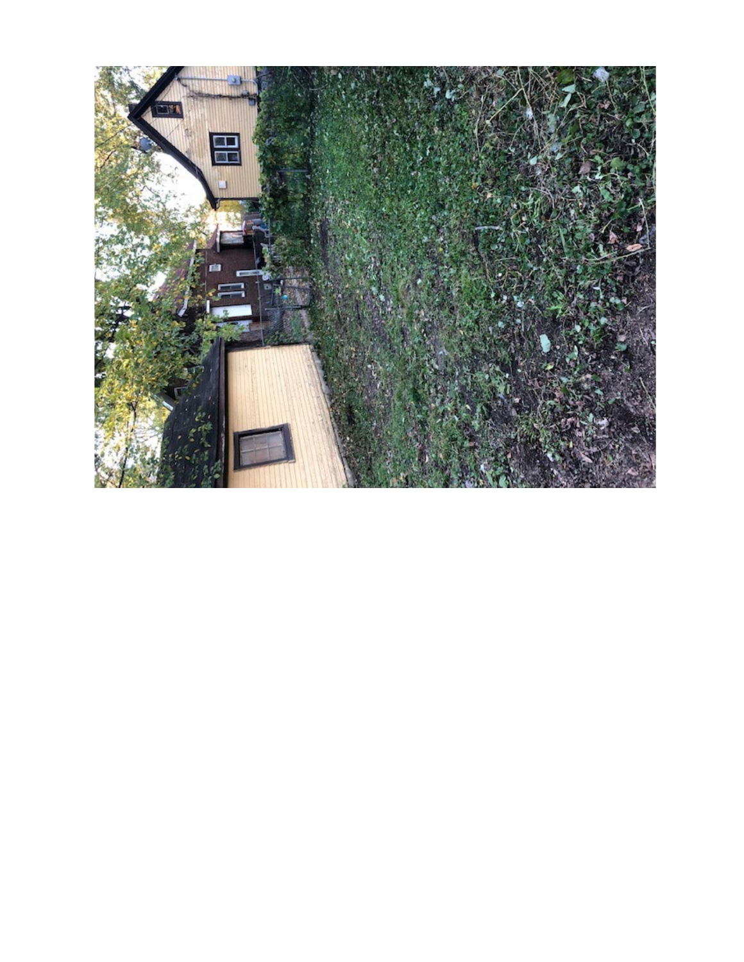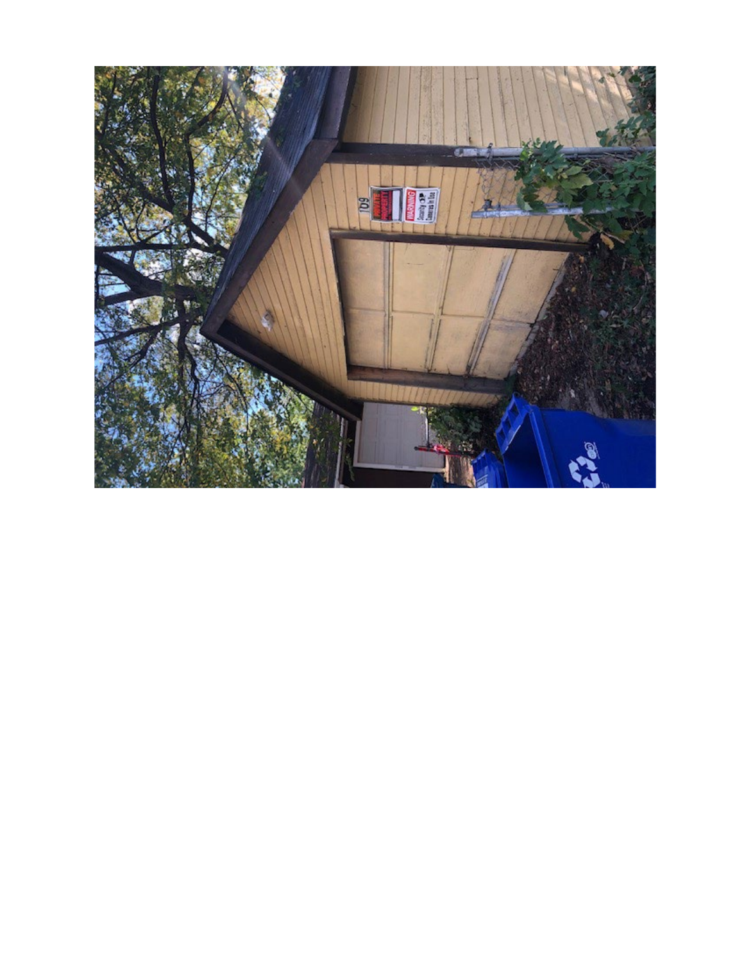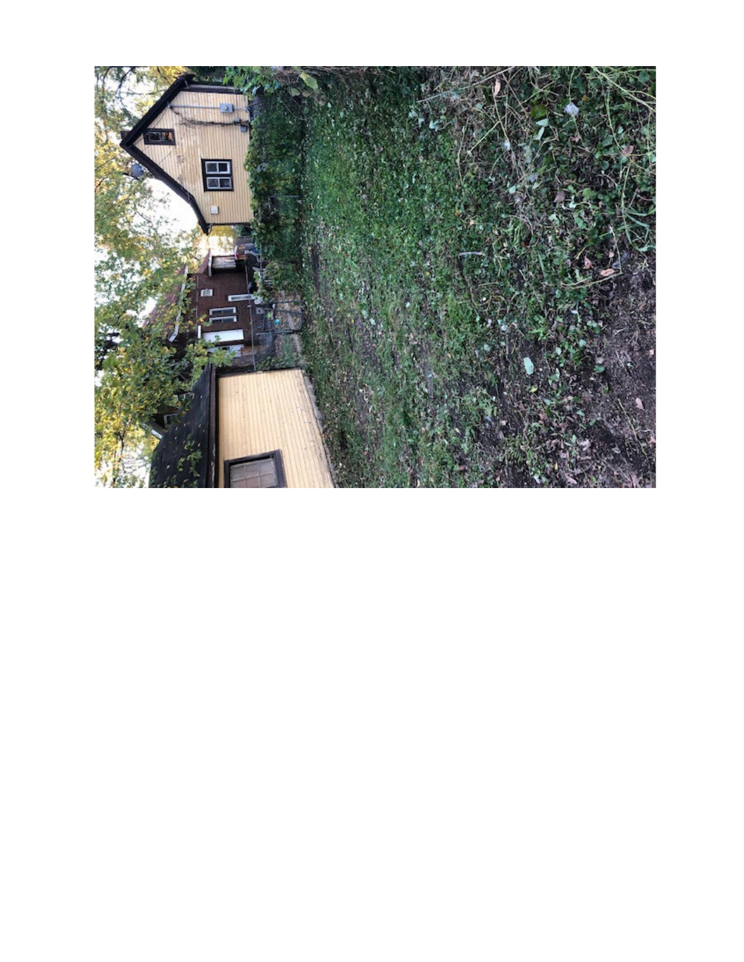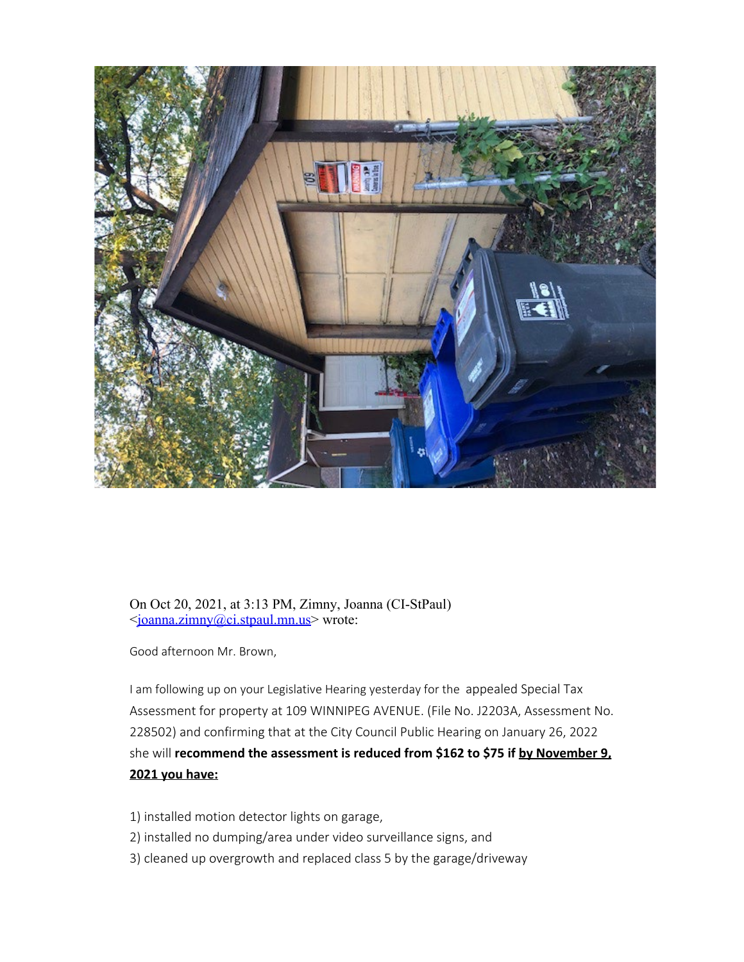

On Oct 20, 2021, at 3:13 PM, Zimny, Joanna (CI-StPaul) [<joanna.zimny@ci.stpaul.mn.us](mailto:joanna.zimny@ci.stpaul.mn.us)> wrote:

Good afternoon Mr. Brown,

I am following up on your Legislative Hearing yesterday for the appealed Special Tax Assessment for property at 109 WINNIPEG AVENUE. (File No. J2203A, Assessment No. 228502) and confirming that at the City Council Public Hearing on January 26, 2022 she will **recommend the assessment is reduced from \$162 to \$75 if by November 9, 2021 you have:**

- 1) installed motion detector lights on garage,
- 2) installed no dumping/area under video surveillance signs, and
- 3) cleaned up overgrowth and replaced class 5 by the garage/driveway